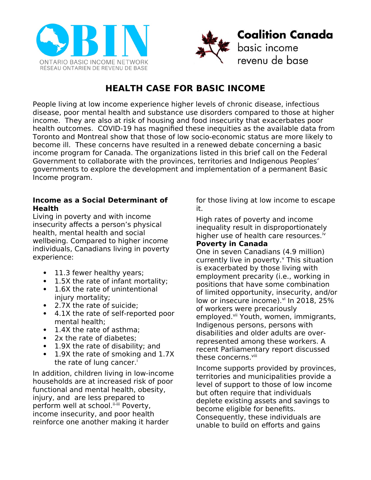



# **HEALTH CASE FOR BASIC INCOME**

People living at low income experience higher levels of chronic disease, infectious disease, poor mental health and substance use disorders compared to those at higher income. They are also at risk of housing and food insecurity that exacerbates poor health outcomes. COVID-19 has magnified these inequities as the available data from Toronto and Montreal show that those of low socio-economic status are more likely to become ill. These concerns have resulted in a renewed debate concerning a basic income program for Canada. The organizations listed in this brief call on the Federal Government to collaborate with the provinces, territories and Indigenous Peoples' governments to explore the development and implementation of a permanent Basic Income program.

### **Income as a Social Determinant of Health**

Living in poverty and with income insecurity affects a person's physical health, mental health and social wellbeing. Compared to higher income individuals, Canadians living in poverty experience:

- 11.3 fewer healthy years;
- 1.5X the rate of infant mortality:
- 1.6X the rate of unintentional injury mortality;
- 2.7X the rate of suicide;
- 4.1X the rate of self-reported poor mental health;
- 1.4X the rate of asthma:
- 2x the rate of diabetes;
- 1.9X the rate of disability; and
- 1.9X the rate of smoking and 1.7X the rate of lung cancer.<sup>i</sup>

In addition, children living in low-income households are at increased risk of poor functional and mental health, obesity, injury, and are less prepared to perform well at school. ii-iii Poverty, income insecurity, and poor health reinforce one another making it harder

for those living at low income to escape it.

High rates of poverty and income inequality result in disproportionately higher use of health care resources.<sup>iv</sup>

## **Poverty in Canada**

One in seven Canadians (4.9 million) currently live in poverty.<sup>v</sup> This situation is exacerbated by those living with employment precarity (i.e., working in positions that have some combination of limited opportunity, insecurity, and/or low or insecure income). vi In 2018, 25% of workers were precariously employed.<sup>vii</sup> Youth, women, immigrants, Indigenous persons, persons with disabilities and older adults are overrepresented among these workers. A recent Parliamentary report discussed these concerns. Vili

Income supports provided by provinces, territories and municipalities provide a level of support to those of low income but often require that individuals deplete existing assets and savings to become eligible for benefits. Consequently, these individuals are unable to build on efforts and gains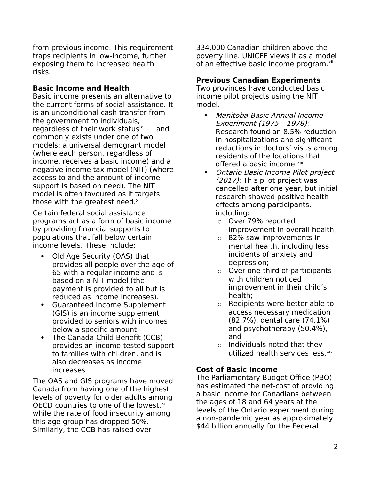from previous income. This requirement traps recipients in low-income, further exposing them to increased health risks.

## **Basic Income and Health**

Basic income presents an alternative to the current forms of social assistance. It is an unconditional cash transfer from the government to individuals, regardless of their work status  $x^2$  and commonly exists under one of two models: a universal demogrant model (where each person, regardless of income, receives a basic income) and a negative income tax model (NIT) (where access to and the amount of income support is based on need). The NIT model is often favoured as it targets those with the greatest need. $x$ 

Certain federal social assistance programs act as a form of basic income by providing financial supports to populations that fall below certain income levels. These include:

- Old Age Security (OAS) that provides all people over the age of 65 with a regular income and is based on a NIT model (the payment is provided to all but is reduced as income increases).
- Guaranteed Income Supplement (GIS) is an income supplement provided to seniors with incomes below a specific amount.
- The Canada Child Benefit (CCB) provides an income-tested support to families with children, and is also decreases as income increases.

The OAS and GIS programs have moved Canada from having one of the highest levels of poverty for older adults among OECD countries to one of the lowest, $x_i$ while the rate of food insecurity among this age group has dropped 50%. Similarly, the CCB has raised over

334,000 Canadian children above the poverty line. UNICEF views it as a model of an effective basic income program.<sup>xii</sup>

# **Previous Canadian Experiments**

Two provinces have conducted basic income pilot projects using the NIT model.

- Manitoba Basic Annual Income Experiment (1975 – 1978): Research found an 8.5% reduction in hospitalizations and significant reductions in doctors' visits among residents of the locations that offered a basic income.<sup>xiii</sup>
- Ontario Basic Income Pilot project (2017): This pilot project was cancelled after one year, but initial research showed positive health effects among participants, including:
	- o Over 79% reported improvement in overall health;
	- o 82% saw improvements in mental health, including less incidents of anxiety and depression;
	- $\circ$  Over one-third of participants with children noticed improvement in their child's health;
	- o Recipients were better able to access necessary medication (82.7%), dental care (74.1%) and psychotherapy (50.4%), and
	- $\circ$  Individuals noted that they utilized health services less. xiv

## **Cost of Basic Income**

The Parliamentary Budget Office (PBO) has estimated the net-cost of providing a basic income for Canadians between the ages of 18 and 64 years at the levels of the Ontario experiment during a non-pandemic year as approximately \$44 billion annually for the Federal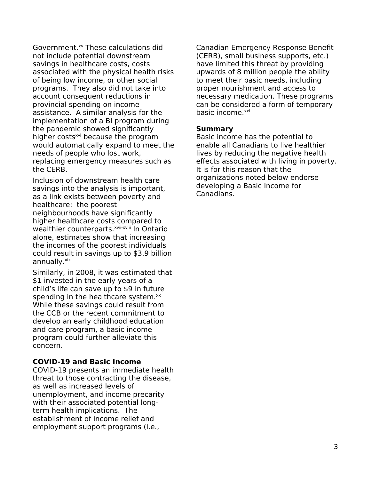Government.<sup>xv</sup> These calculations did not include potential downstream savings in healthcare costs, costs associated with the physical health risks of being low income, or other social programs. They also did not take into account consequent reductions in provincial spending on income assistance. A similar analysis for the implementation of a BI program during the pandemic showed significantly higher costs<sup>xvi</sup> because the program would automatically expand to meet the needs of people who lost work, replacing emergency measures such as the CERB.

Inclusion of downstream health care savings into the analysis is important, as a link exists between poverty and healthcare: the poorest neighbourhoods have significantly higher healthcare costs compared to wealthier counterparts.<sup>xvii-xviii</sup> In Ontario alone, estimates show that increasing the incomes of the poorest individuals could result in savings up to \$3.9 billion annually.xix

Similarly, in 2008, it was estimated that \$1 invested in the early years of a child's life can save up to \$9 in future spending in the healthcare system. $^{xx}$ While these savings could result from the CCB or the recent commitment to develop an early childhood education and care program, a basic income program could further alleviate this concern.

#### **COVID-19 and Basic Income**

COVID-19 presents an immediate health threat to those contracting the disease, as well as increased levels of unemployment, and income precarity with their associated potential longterm health implications. The establishment of income relief and employment support programs (i.e.,

Canadian Emergency Response Benefit (CERB), small business supports, etc.) have limited this threat by providing upwards of 8 million people the ability to meet their basic needs, including proper nourishment and access to necessary medication. These programs can be considered a form of temporary basic income.<sup>xxi</sup>

#### **Summary**

Basic income has the potential to enable all Canadians to live healthier lives by reducing the negative health effects associated with living in poverty. It is for this reason that the organizations noted below endorse developing a Basic Income for Canadians.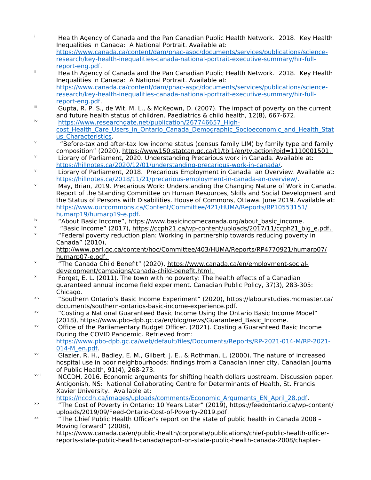[https://www.canada.ca/content/dam/phac-aspc/documents/services/publications/science](https://www.canada.ca/content/dam/phac-aspc/documents/services/publications/science-research/key-health-inequalities-canada-national-portrait-executive-summary/hir-full-report-eng.pdf)[research/key-health-inequalities-canada-national-portrait-executive-summary/hir-full](https://www.canada.ca/content/dam/phac-aspc/documents/services/publications/science-research/key-health-inequalities-canada-national-portrait-executive-summary/hir-full-report-eng.pdf)[report-eng.pdf](https://www.canada.ca/content/dam/phac-aspc/documents/services/publications/science-research/key-health-inequalities-canada-national-portrait-executive-summary/hir-full-report-eng.pdf). <sup>ii</sup> Health Agency of Canada and the Pan Canadian Public Health Network. 2018. Key Health Inequalities in Canada: A National Portrait. Available at: [https://www.canada.ca/content/dam/phac-aspc/documents/services/publications/science](https://www.canada.ca/content/dam/phac-aspc/documents/services/publications/science-research/key-health-inequalities-canada-national-portrait-executive-summary/hir-full-report-eng.pdf)[research/key-health-inequalities-canada-national-portrait-executive-summary/hir-full](https://www.canada.ca/content/dam/phac-aspc/documents/services/publications/science-research/key-health-inequalities-canada-national-portrait-executive-summary/hir-full-report-eng.pdf)[report-eng.pdf](https://www.canada.ca/content/dam/phac-aspc/documents/services/publications/science-research/key-health-inequalities-canada-national-portrait-executive-summary/hir-full-report-eng.pdf).  $\overline{a}$  Gupta, R. P. S., de Wit, M. L., & McKeown, D. (2007). The impact of poverty on the current and future health status of children. Paediatrics & child health, 12(8), 667-672. iv [https://www.researchgate.net/publication/267746657\\_High](https://www.researchgate.net/publication/267746657_High-cost_Health_Care_Users_in_Ontario_Canada_Demographic_Socioeconomic_and_Health_Status_Characteristics)cost Health Care Users in Ontario Canada Demographic Socioeconomic and Health Stat [us\\_Characteristics](https://www.researchgate.net/publication/267746657_High-cost_Health_Care_Users_in_Ontario_Canada_Demographic_Socioeconomic_and_Health_Status_Characteristics). v "Before-tax and after-tax low income status (census family LIM) by family type and family composition" (2020), https://www150.statcan.gc.ca/t1/tbl1/en/tv.action?pid=1110001501. vi Library of Parliament, 2020. Understanding Precarious work in Canada. Available at: <https://hillnotes.ca/2020/12/01/understanding-precarious-work-in-canada/>. vii Library of Parliament, 2018. Precarious Employment in Canada: an Overview. Available at: <https://hillnotes.ca/2018/11/21/precarious-employment-in-canada-an-overview/>. viii May, Brian, 2019. Precarious Work: Understanding the Changing Nature of Work in Canada. Report of the Standing Committee on Human Resources, Skills and Social Development and the Status of Persons with Disabilities. House of Commons, Ottawa. June 2019. Available at: [https://www.ourcommons.ca/Content/Committee/421/HUMA/Reports/RP10553151/](https://www.ourcommons.ca/Content/Committee/421/HUMA/Reports/RP10553151/humarp19/humarp19-e.pdf) [humarp19/humarp19-e.pdf.](https://www.ourcommons.ca/Content/Committee/421/HUMA/Reports/RP10553151/humarp19/humarp19-e.pdf) <sup>ix</sup> "About Basic Income", https://www.basicincomecanada.org/about basic income. x "Basic Income" (2017), https://ccph21.ca/wp-content/uploads/2017/11/ccph21\_big\_e.pdf . xi "Federal poverty reduction plan: Working in partnership towards reducing poverty in Canada" (2010), http://www.parl.gc.ca/content/hoc/Committee/403/HUMA/Reports/RP4770921/humarp07/ humarp07-e.pdf. xii "The Canada Child Benefit" (2020), https://www.canada.ca/en/employment-social development/campaigns/canada-child-benefit.html.  $x$ iii Forget, E. L. (2011). The town with no poverty: The health effects of a Canadian guaranteed annual income field experiment. Canadian Public Policy, 37(3), 283-305: Chicago. xiv "Southern Ontario's Basic Income Experiment" (2020), https://labourstudies.mcmaster.ca/ documents/southern-ontarios-basic-income-experience.pdf. xv "Costing a National Guaranteed Basic Income Using the Ontario Basic Income Model" (2018), https://www.pbo-dpb.gc.ca/en/blog/news/Guaranteed Basic Income. xvi Office of the Parliamentary Budget Officer. (2021). Costing a Guaranteed Basic Income During the COVID Pandemic. Retrieved from: [https://www.pbo-dpb.gc.ca/web/default/files/Documents/Reports/RP-2021-014-M/RP-2021-](https://www.pbo-dpb.gc.ca/web/default/files/Documents/Reports/RP-2021-014-M/RP-2021-014-M_en.pdf) [014-M\\_en.pdf](https://www.pbo-dpb.gc.ca/web/default/files/Documents/Reports/RP-2021-014-M/RP-2021-014-M_en.pdf). xvii Glazier, R. H., Badley, E. M., Gilbert, J. E., & Rothman, L. (2000). The nature of increased hospital use in poor neighbourhoods: findings from a Canadian inner city. Canadian Journal of Public Health, 91(4), 268-273. xviii NCCDH, 2016. Economic arguments for shifting health dollars upstream. Discussion paper. Antigonish, NS: National Collaborating Centre for Determinants of Health, St. Francis Xavier University. Available at: [https://nccdh.ca/images/uploads/comments/Economic\\_Arguments\\_EN\\_April\\_28.pdf](https://nccdh.ca/images/uploads/comments/Economic_Arguments_EN_April_28.pdf). xix "The Cost of Poverty in Ontario: 10 Years Later" (2019), https://feedontario.ca/wp-content/ uploads/2019/09/Feed-Ontario-Cost-of-Poverty-2019.pdf. xx "The Chief Public Health Officer's report on the state of public health in Canada 2008 – Moving forward" (2008), https://www.canada.ca/en/public-health/corporate/publications/chief-public-health-officerreports-state-public-health-canada/report-on-state-public-health-canada-2008/chapter-

**i** Health Agency of Canada and the Pan Canadian Public Health Network. 2018. Key Health

Inequalities in Canada: A National Portrait. Available at: